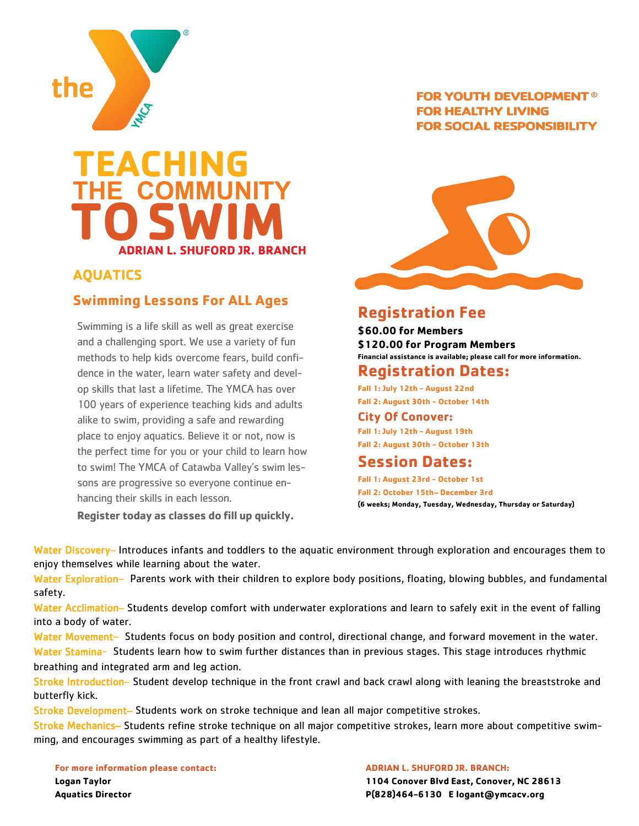

## **TEACHING THE COMMUNITY TO ADRIAN L. SHUFORD JR. BRANCH SWIM**

### **AQUATICS**

#### **Swimming Lessons For ALL Ages**

Swimming is a life skill as well as great exercise and a challenging sport. We use a variety of fun methods to help kids overcome fears, build confidence in the water, learn water safety and develop skills that last a lifetime. The YMCA has over 100 years of experience teaching kids and adults alike to swim, providing a safe and rewarding place to enjoy aquatics. Believe it or not, now is the perfect time for you or your child to learn how to swim! The YMCA of Catawba Valley's swim lessons are progressive so everyone continue enhancing their skills in each lesson.

**Register today as classes do fill up quickly.**

#### **FOR YOUTH DEVELOPMENT® FOR HEALTHY LIVING FOR SOCIAL RESPONSIBILITY**



## **Registration Fee**

**\$60.00 for Members \$120.00 for Program Members Financial assistance is available; please call for more information.**

### **Registration Dates:**

**Fall 1: July 12th - August 22nd Fall 2: August 30th - October 14th**

#### **City Of Conover:**

**Fall 1: July 12th - August 19th Fall 2: August 30th - October 13th**

## **Session Dates:**

**Fall 1: August 23rd - October 1st Fall 2: October 15th– December 3rd (6 weeks; Monday, Tuesday, Wednesday, Thursday or Saturday)**

Water Discovery- Introduces infants and toddlers to the aquatic environment through exploration and encourages them to enjoy themselves while learning about the water.

Water Exploration– Parents work with their children to explore body positions, floating, blowing bubbles, and fundamental safety.

Water Acclimation– Students develop comfort with underwater explorations and learn to safely exit in the event of falling into a body of water.

Water Movement– Students focus on body position and control, directional change, and forward movement in the water. Water Stamina- Students learn how to swim further distances than in previous stages. This stage introduces rhythmic breathing and integrated arm and leg action.

Stroke Introduction– Student develop technique in the front crawl and back crawl along with leaning the breaststroke and butterfly kick.

Stroke Development– Students work on stroke technique and lean all major competitive strokes.

Stroke Mechanics– Students refine stroke technique on all major competitive strokes, learn more about competitive swimming, and encourages swimming as part of a healthy lifestyle.

**For more information please contact: Logan Taylor Aquatics Director**

**ADRIAN L. SHUFORD JR. BRANCH: 1104 Conover Blvd East, Conover, NC 28613 P(828)464-6130 E logant@ymcacv.org**